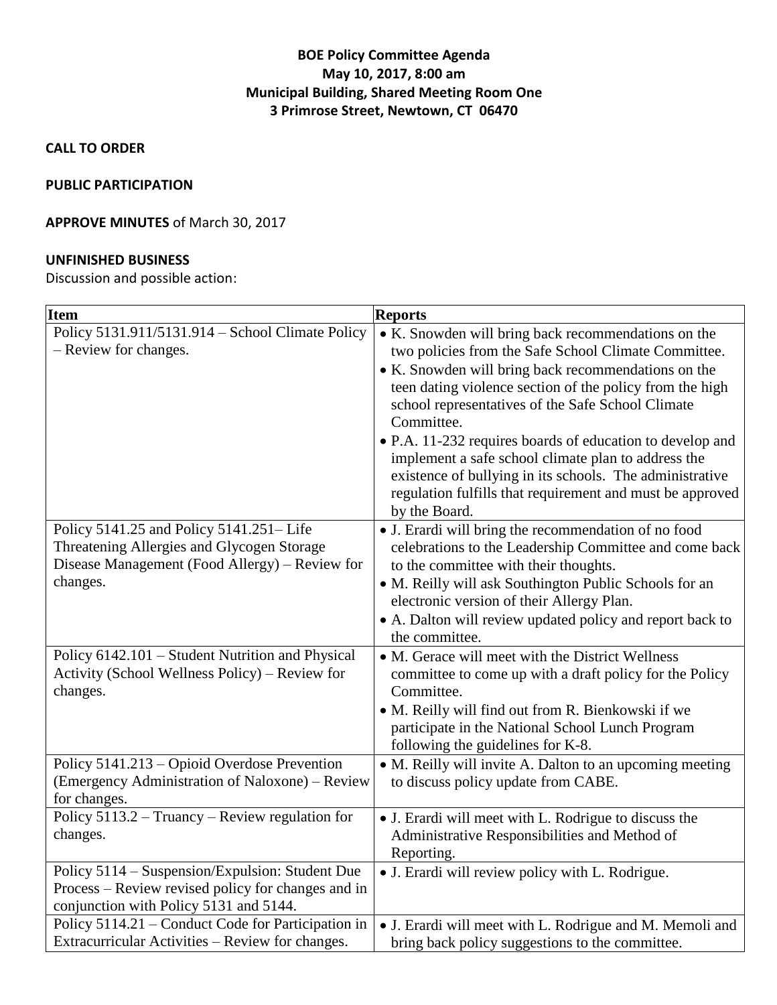# **BOE Policy Committee Agenda May 10, 2017, 8:00 am Municipal Building, Shared Meeting Room One 3 Primrose Street, Newtown, CT 06470**

**CALL TO ORDER**

#### **PUBLIC PARTICIPATION**

## **APPROVE MINUTES** of March 30, 2017

### **UNFINISHED BUSINESS**

Discussion and possible action:

| <b>Item</b><br><b>Reports</b>                                                                                                                       |                                                                                                                                                                                                                                                                                                                                                                                                                                                                                                                                                                 |
|-----------------------------------------------------------------------------------------------------------------------------------------------------|-----------------------------------------------------------------------------------------------------------------------------------------------------------------------------------------------------------------------------------------------------------------------------------------------------------------------------------------------------------------------------------------------------------------------------------------------------------------------------------------------------------------------------------------------------------------|
| Policy 5131.911/5131.914 - School Climate Policy<br>- Review for changes.                                                                           | • K. Snowden will bring back recommendations on the<br>two policies from the Safe School Climate Committee.<br>• K. Snowden will bring back recommendations on the<br>teen dating violence section of the policy from the high<br>school representatives of the Safe School Climate<br>Committee.<br>• P.A. 11-232 requires boards of education to develop and<br>implement a safe school climate plan to address the<br>existence of bullying in its schools. The administrative<br>regulation fulfills that requirement and must be approved<br>by the Board. |
| Policy 5141.25 and Policy 5141.251–Life<br>Threatening Allergies and Glycogen Storage<br>Disease Management (Food Allergy) – Review for<br>changes. | • J. Erardi will bring the recommendation of no food<br>celebrations to the Leadership Committee and come back<br>to the committee with their thoughts.<br>• M. Reilly will ask Southington Public Schools for an<br>electronic version of their Allergy Plan.<br>• A. Dalton will review updated policy and report back to<br>the committee.                                                                                                                                                                                                                   |
| Policy 6142.101 - Student Nutrition and Physical<br>Activity (School Wellness Policy) – Review for<br>changes.                                      | • M. Gerace will meet with the District Wellness<br>committee to come up with a draft policy for the Policy<br>Committee.<br>• M. Reilly will find out from R. Bienkowski if we<br>participate in the National School Lunch Program<br>following the guidelines for K-8.                                                                                                                                                                                                                                                                                        |
| Policy 5141.213 – Opioid Overdose Prevention<br>(Emergency Administration of Naloxone) – Review<br>for changes.                                     | • M. Reilly will invite A. Dalton to an upcoming meeting<br>to discuss policy update from CABE.                                                                                                                                                                                                                                                                                                                                                                                                                                                                 |
| Policy $5113.2 - Truancy - Review regulation for$<br>changes.                                                                                       | • J. Erardi will meet with L. Rodrigue to discuss the<br>Administrative Responsibilities and Method of<br>Reporting.                                                                                                                                                                                                                                                                                                                                                                                                                                            |
| Policy 5114 – Suspension/Expulsion: Student Due<br>Process – Review revised policy for changes and in<br>conjunction with Policy 5131 and 5144.     | • J. Erardi will review policy with L. Rodrigue.                                                                                                                                                                                                                                                                                                                                                                                                                                                                                                                |
| Policy 5114.21 – Conduct Code for Participation in<br>Extracurricular Activities - Review for changes.                                              | • J. Erardi will meet with L. Rodrigue and M. Memoli and<br>bring back policy suggestions to the committee.                                                                                                                                                                                                                                                                                                                                                                                                                                                     |